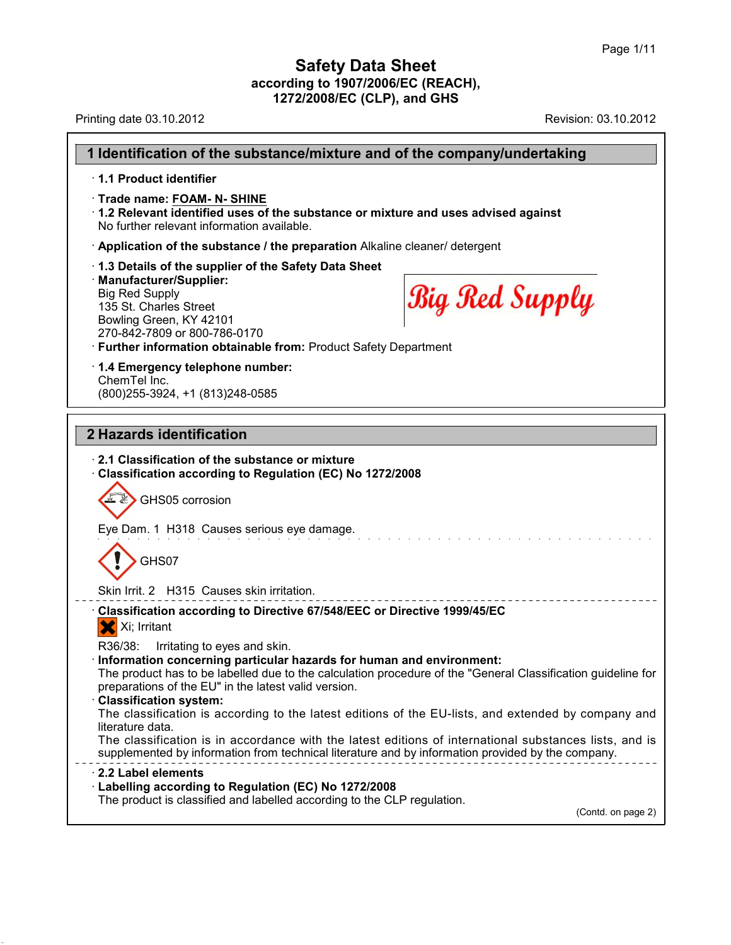Printing date 03.10.2012 **Revision: 03.10.2012** Revision: 03.10.2012

**1 Identification of the substance/mixture and of the company/undertaking** · **1.1 Product identifier** · **Trade name: FOAM- N- SHINE** · **1.2 Relevant identified uses of the substance or mixture and uses advised against** No further relevant information available. · **Application of the substance / the preparation** Alkaline cleaner/ detergent · **1.3 Details of the supplier of the Safety Data Sheet** · **Manufacturer/Supplier: Big Red Supply** Big Red Supply 135 St. Charles Street Bowling Green, KY 42101 270-842-7809 or 800-786-0170 · **Further information obtainable from:** Product Safety Department · **1.4 Emergency telephone number:** ChemTel Inc. (800)255-3924, +1 (813)248-0585 **2 Hazards identification** · **2.1 Classification of the substance or mixture** · **Classification according to Regulation (EC) No 1272/2008** GHS05 corrosion Eye Dam. 1 H318 Causes serious eye damage. GHS07 Skin Irrit. 2 H315 Causes skin irritation. · **Classification according to Directive 67/548/EEC or Directive 1999/45/EC** X Xi; Irritant R36/38: Irritating to eyes and skin. · **Information concerning particular hazards for human and environment:** The product has to be labelled due to the calculation procedure of the "General Classification guideline for preparations of the EU" in the latest valid version. · **Classification system:** The classification is according to the latest editions of the EU-lists, and extended by company and literature data. The classification is in accordance with the latest editions of international substances lists, and is supplemented by information from technical literature and by information provided by the company. · **2.2 Label elements** · **Labelling according to Regulation (EC) No 1272/2008** The product is classified and labelled according to the CLP regulation. (Contd. on page 2)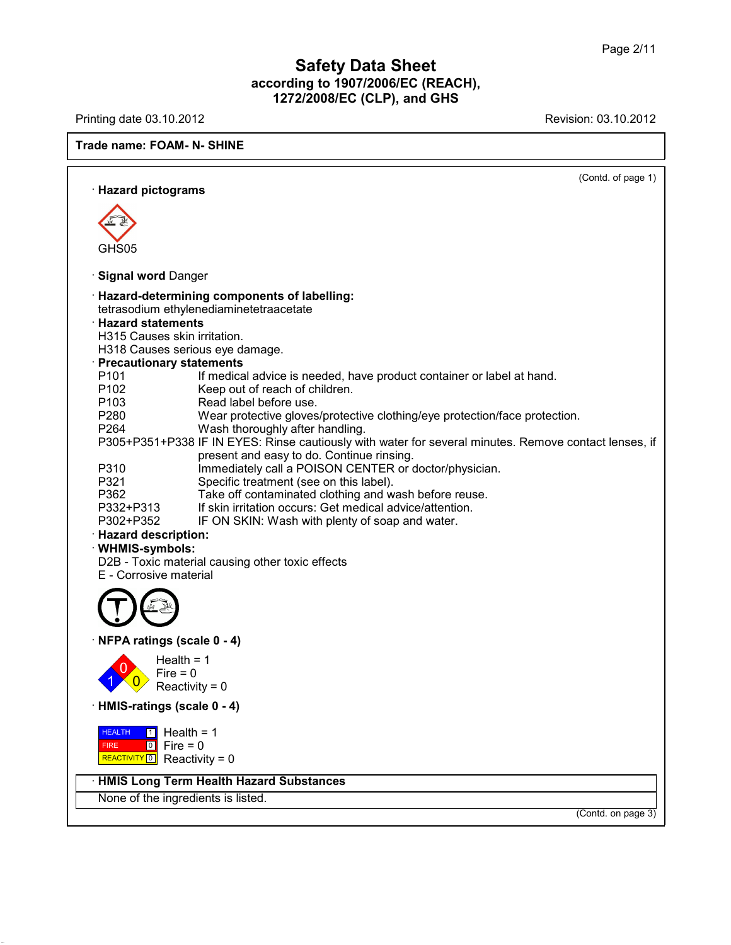Printing date 03.10.2012 **Revision: 03.10.2012** 

**Trade name: FOAM- N- SHINE**

|                              |                                                                                                       | (Contd. of page 1) |  |
|------------------------------|-------------------------------------------------------------------------------------------------------|--------------------|--|
| · Hazard pictograms          |                                                                                                       |                    |  |
|                              |                                                                                                       |                    |  |
|                              |                                                                                                       |                    |  |
|                              |                                                                                                       |                    |  |
| GHS05                        |                                                                                                       |                    |  |
|                              |                                                                                                       |                    |  |
| · Signal word Danger         |                                                                                                       |                    |  |
|                              | · Hazard-determining components of labelling:                                                         |                    |  |
|                              | tetrasodium ethylenediaminetetraacetate                                                               |                    |  |
| <b>Hazard statements</b>     |                                                                                                       |                    |  |
| H315 Causes skin irritation. |                                                                                                       |                    |  |
|                              | H318 Causes serious eye damage.                                                                       |                    |  |
| · Precautionary statements   |                                                                                                       |                    |  |
| P <sub>101</sub>             |                                                                                                       |                    |  |
|                              | If medical advice is needed, have product container or label at hand.                                 |                    |  |
| P102                         | Keep out of reach of children.                                                                        |                    |  |
| P <sub>103</sub>             | Read label before use.                                                                                |                    |  |
| P280                         | Wear protective gloves/protective clothing/eye protection/face protection.                            |                    |  |
| P264                         | Wash thoroughly after handling.                                                                       |                    |  |
|                              | P305+P351+P338 IF IN EYES: Rinse cautiously with water for several minutes. Remove contact lenses, if |                    |  |
|                              | present and easy to do. Continue rinsing.                                                             |                    |  |
| P310                         | Immediately call a POISON CENTER or doctor/physician.                                                 |                    |  |
| P321                         | Specific treatment (see on this label).                                                               |                    |  |
| P362                         | Take off contaminated clothing and wash before reuse.                                                 |                    |  |
| P332+P313                    | If skin irritation occurs: Get medical advice/attention.                                              |                    |  |
| P302+P352                    | IF ON SKIN: Wash with plenty of soap and water.                                                       |                    |  |
| · Hazard description:        |                                                                                                       |                    |  |
| · WHMIS-symbols:             |                                                                                                       |                    |  |
|                              | D2B - Toxic material causing other toxic effects                                                      |                    |  |
| E - Corrosive material       |                                                                                                       |                    |  |
|                              |                                                                                                       |                    |  |
|                              |                                                                                                       |                    |  |
|                              |                                                                                                       |                    |  |
|                              |                                                                                                       |                    |  |
|                              |                                                                                                       |                    |  |
| · NFPA ratings (scale 0 - 4) |                                                                                                       |                    |  |
|                              | Health = $1$                                                                                          |                    |  |
| $Fire = 0$                   |                                                                                                       |                    |  |
|                              | Reactivity = 0                                                                                        |                    |  |
|                              |                                                                                                       |                    |  |
| · HMIS-ratings (scale 0 - 4) |                                                                                                       |                    |  |
|                              |                                                                                                       |                    |  |
| <b>HEALTH</b><br>$\boxed{1}$ | Health = $1$                                                                                          |                    |  |
| $\boxed{0}$<br><b>FIRE</b>   | $Fire = 0$                                                                                            |                    |  |
| REACTIVITY 0 Reactivity = 0  |                                                                                                       |                    |  |
|                              |                                                                                                       |                    |  |
|                              | <b>HMIS Long Term Health Hazard Substances</b>                                                        |                    |  |
|                              | None of the ingredients is listed.                                                                    |                    |  |
|                              |                                                                                                       | (Contd. on page 3) |  |
|                              |                                                                                                       |                    |  |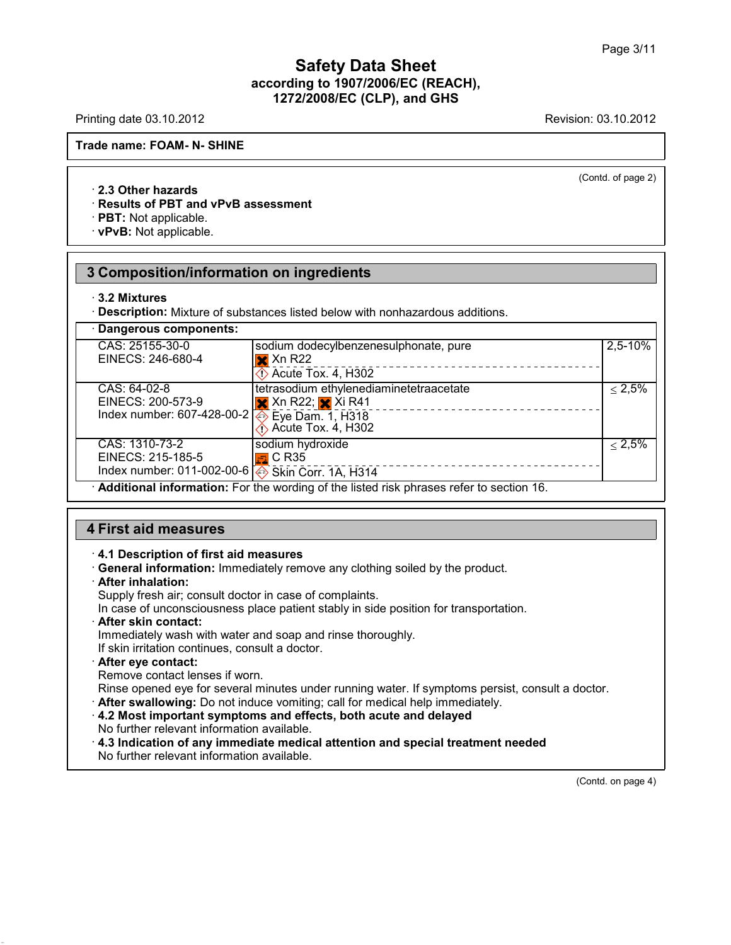Printing date 03.10.2012 **Revision: 03.10.2012** Revision: 03.10.2012

(Contd. of page 2)

## **Trade name: FOAM- N- SHINE**

#### · **2.3 Other hazards**

#### · **Results of PBT and vPvB assessment**

· **PBT:** Not applicable.

· **vPvB:** Not applicable.

## **3 Composition/information on ingredients**

#### · **3.2 Mixtures**

· **Description:** Mixture of substances listed below with nonhazardous additions.

| · Dangerous components:                                                                 |                                                            |              |
|-----------------------------------------------------------------------------------------|------------------------------------------------------------|--------------|
| CAS: 25155-30-0                                                                         | sodium dodecylbenzenesulphonate, pure                      | $2,5 - 10\%$ |
| EINECS: 246-680-4                                                                       | $\mathbf{\times}$ Xn R22                                   |              |
|                                                                                         | $\Diamond$ Acute Tox. 4, H302                              |              |
| CAS: 64-02-8                                                                            | tetrasodium ethylenediaminetetraacetate                    | $\leq 2.5\%$ |
| EINECS: 200-573-9                                                                       | $\mathsf{\times}$ Xn R22; $\mathsf{\times}$ Xi R41         |              |
| Index number: 607-428-00-2 $\otimes$ Eye Dam. 1, H318                                   |                                                            |              |
|                                                                                         | $\overline{\left\langle \right\rangle}$ Acute Tox. 4, H302 |              |
| CAS: 1310-73-2                                                                          | sodium hydroxide                                           | $\leq 2.5\%$ |
| EINECS: 215-185-5                                                                       | $\mathbb{E}$ C R35                                         |              |
| Index number: 011-002-00-6 $\leftrightarrow$ Skin Corr. 1A, H314                        |                                                            |              |
| Additional information: For the wording of the listed risk phrases refer to section 16. |                                                            |              |

# **4 First aid measures**

#### · **4.1 Description of first aid measures**

· **General information:** Immediately remove any clothing soiled by the product.

· **After inhalation:**

Supply fresh air; consult doctor in case of complaints.

In case of unconsciousness place patient stably in side position for transportation.

· **After skin contact:**

Immediately wash with water and soap and rinse thoroughly.

If skin irritation continues, consult a doctor.

· **After eye contact:**

Remove contact lenses if worn.

Rinse opened eye for several minutes under running water. If symptoms persist, consult a doctor.

· **After swallowing:** Do not induce vomiting; call for medical help immediately.

· **4.2 Most important symptoms and effects, both acute and delayed** No further relevant information available.

· **4.3 Indication of any immediate medical attention and special treatment needed** No further relevant information available.

(Contd. on page 4)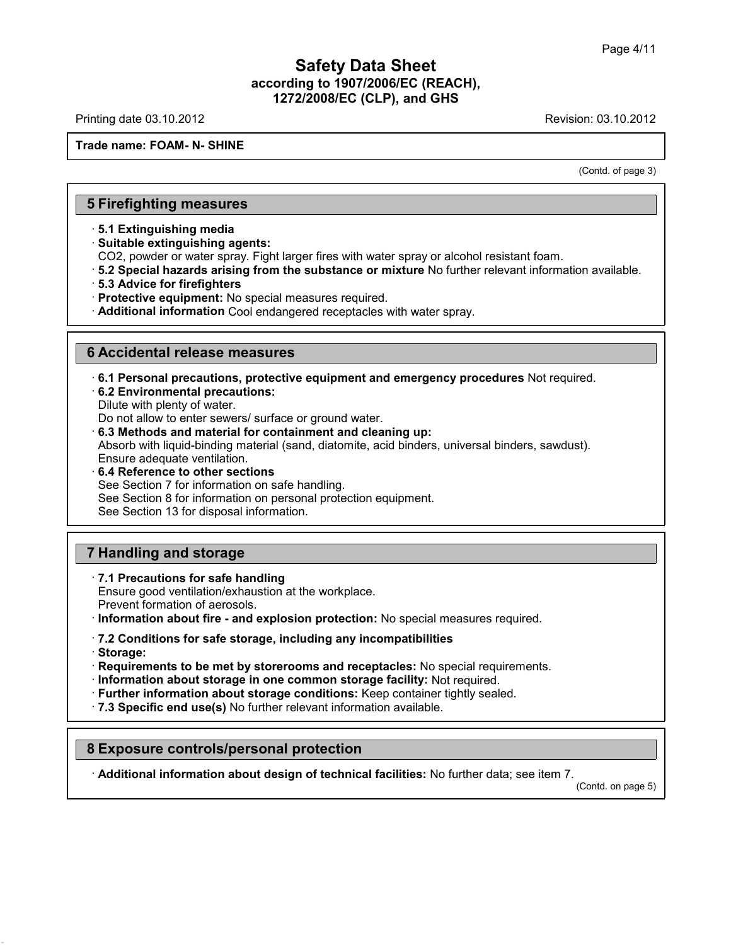Printing date 03.10.2012 **Revision: 03.10.2012** Revision: 03.10.2012

#### **Trade name: FOAM- N- SHINE**

(Contd. of page 3)

## **5 Firefighting measures**

· **5.1 Extinguishing media**

· **Suitable extinguishing agents:**

CO2, powder or water spray. Fight larger fires with water spray or alcohol resistant foam.

· **5.2 Special hazards arising from the substance or mixture** No further relevant information available.

· **5.3 Advice for firefighters**

· **Protective equipment:** No special measures required.

· **Additional information** Cool endangered receptacles with water spray.

#### **6 Accidental release measures**

· **6.1 Personal precautions, protective equipment and emergency procedures** Not required.

· **6.2 Environmental precautions:**

Dilute with plenty of water.

Do not allow to enter sewers/ surface or ground water.

· **6.3 Methods and material for containment and cleaning up:**

Absorb with liquid-binding material (sand, diatomite, acid binders, universal binders, sawdust).

Ensure adequate ventilation.

· **6.4 Reference to other sections**

See Section 7 for information on safe handling.

See Section 8 for information on personal protection equipment.

See Section 13 for disposal information.

## **7 Handling and storage**

· **7.1 Precautions for safe handling**

Ensure good ventilation/exhaustion at the workplace. Prevent formation of aerosols.

· **Information about fire - and explosion protection:** No special measures required.

· **7.2 Conditions for safe storage, including any incompatibilities**

· **Storage:**

· **Requirements to be met by storerooms and receptacles:** No special requirements.

· **Information about storage in one common storage facility:** Not required.

· **Further information about storage conditions:** Keep container tightly sealed.

· **7.3 Specific end use(s)** No further relevant information available.

## **8 Exposure controls/personal protection**

· **Additional information about design of technical facilities:** No further data; see item 7.

(Contd. on page 5)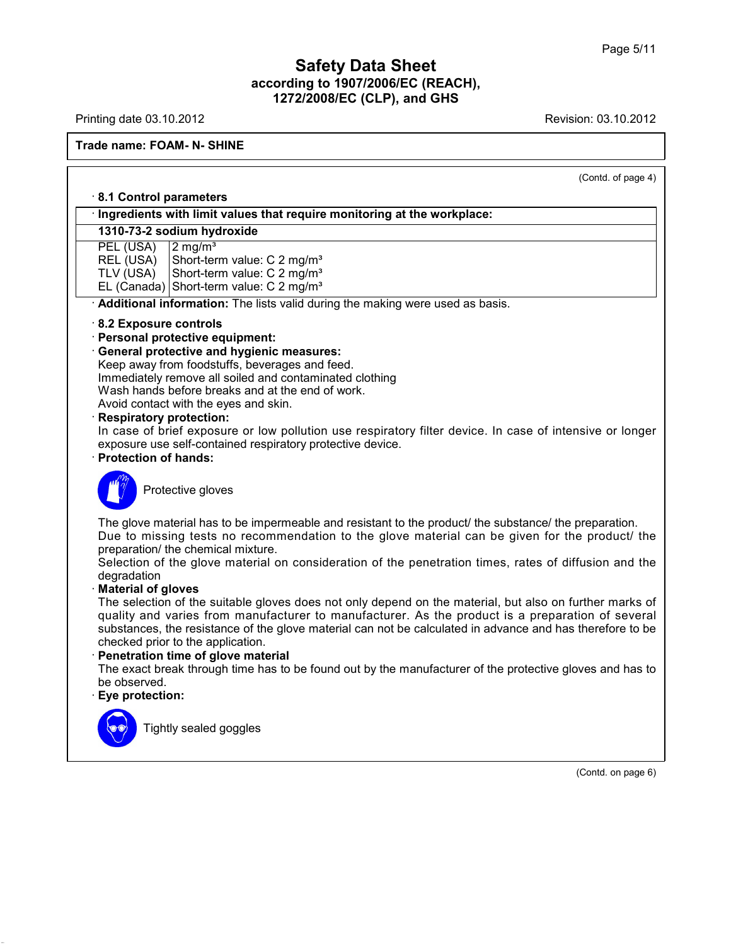Printing date 03.10.2012 **Revision: 03.10.2012** 

# **Trade name: FOAM- N- SHINE**

| (Contd. of page 4)                                                                                                                                                                                                                                                                                                                                                                                                                                                                                                                                                                                                                                                                                                                                                                                                                                                                                                                                        |
|-----------------------------------------------------------------------------------------------------------------------------------------------------------------------------------------------------------------------------------------------------------------------------------------------------------------------------------------------------------------------------------------------------------------------------------------------------------------------------------------------------------------------------------------------------------------------------------------------------------------------------------------------------------------------------------------------------------------------------------------------------------------------------------------------------------------------------------------------------------------------------------------------------------------------------------------------------------|
| 8.1 Control parameters                                                                                                                                                                                                                                                                                                                                                                                                                                                                                                                                                                                                                                                                                                                                                                                                                                                                                                                                    |
| · Ingredients with limit values that require monitoring at the workplace:                                                                                                                                                                                                                                                                                                                                                                                                                                                                                                                                                                                                                                                                                                                                                                                                                                                                                 |
| 1310-73-2 sodium hydroxide                                                                                                                                                                                                                                                                                                                                                                                                                                                                                                                                                                                                                                                                                                                                                                                                                                                                                                                                |
| PEL (USA)<br>$2 \text{ mg/m}^3$<br>REL (USA)<br>Short-term value: C 2 mg/m <sup>3</sup><br>Short-term value: C 2 mg/m <sup>3</sup><br>TLV (USA)<br>EL (Canada) Short-term value: C 2 mg/m <sup>3</sup>                                                                                                                                                                                                                                                                                                                                                                                                                                                                                                                                                                                                                                                                                                                                                    |
| · Additional information: The lists valid during the making were used as basis.                                                                                                                                                                                                                                                                                                                                                                                                                                                                                                                                                                                                                                                                                                                                                                                                                                                                           |
| 8.2 Exposure controls<br>· Personal protective equipment:<br>· General protective and hygienic measures:<br>Keep away from foodstuffs, beverages and feed.<br>Immediately remove all soiled and contaminated clothing<br>Wash hands before breaks and at the end of work.<br>Avoid contact with the eyes and skin.<br>· Respiratory protection:<br>In case of brief exposure or low pollution use respiratory filter device. In case of intensive or longer<br>exposure use self-contained respiratory protective device.<br>· Protection of hands:                                                                                                                                                                                                                                                                                                                                                                                                       |
| Protective gloves                                                                                                                                                                                                                                                                                                                                                                                                                                                                                                                                                                                                                                                                                                                                                                                                                                                                                                                                         |
| The glove material has to be impermeable and resistant to the product/ the substance/ the preparation.<br>Due to missing tests no recommendation to the glove material can be given for the product/ the<br>preparation/ the chemical mixture.<br>Selection of the glove material on consideration of the penetration times, rates of diffusion and the<br>degradation<br><b>Material of gloves</b><br>The selection of the suitable gloves does not only depend on the material, but also on further marks of<br>quality and varies from manufacturer to manufacturer. As the product is a preparation of several<br>substances, the resistance of the glove material can not be calculated in advance and has therefore to be<br>checked prior to the application.<br>Penetration time of glove material<br>The exact break through time has to be found out by the manufacturer of the protective gloves and has to<br>be observed.<br>Eye protection: |
| Tightly sealed goggles                                                                                                                                                                                                                                                                                                                                                                                                                                                                                                                                                                                                                                                                                                                                                                                                                                                                                                                                    |

(Contd. on page 6)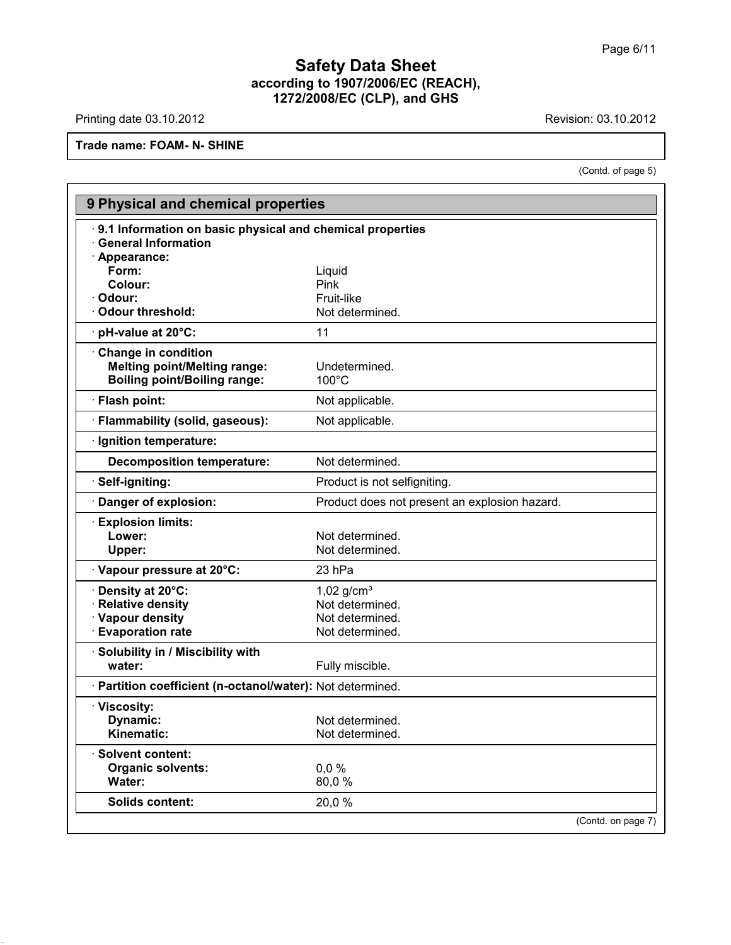Printing date 03.10.2012 **Revision: 03.10.2012** 

# **Trade name: FOAM- N- SHINE**

(Contd. of page 5)

| 9 Physical and chemical properties                                                                |                                               |  |  |  |
|---------------------------------------------------------------------------------------------------|-----------------------------------------------|--|--|--|
| 9.1 Information on basic physical and chemical properties<br>· General Information                |                                               |  |  |  |
| · Appearance:<br>Form:                                                                            |                                               |  |  |  |
| Colour:                                                                                           | Liquid<br>Pink                                |  |  |  |
| · Odour:                                                                                          | Fruit-like                                    |  |  |  |
| · Odour threshold:                                                                                | Not determined.                               |  |  |  |
| $\cdot$ pH-value at 20 $\degree$ C:                                                               | 11                                            |  |  |  |
| Change in condition<br><b>Melting point/Melting range:</b><br><b>Boiling point/Boiling range:</b> | Undetermined.<br>$100^{\circ}$ C              |  |  |  |
| · Flash point:                                                                                    | Not applicable.                               |  |  |  |
| · Flammability (solid, gaseous):                                                                  | Not applicable.                               |  |  |  |
| · Ignition temperature:                                                                           |                                               |  |  |  |
| <b>Decomposition temperature:</b>                                                                 | Not determined.                               |  |  |  |
| · Self-igniting:                                                                                  | Product is not selfigniting.                  |  |  |  |
| · Danger of explosion:                                                                            | Product does not present an explosion hazard. |  |  |  |
| <b>Explosion limits:</b>                                                                          |                                               |  |  |  |
| Lower:                                                                                            | Not determined.                               |  |  |  |
| Upper:                                                                                            | Not determined.                               |  |  |  |
| · Vapour pressure at 20°C:                                                                        | 23 hPa                                        |  |  |  |
| Density at 20°C:                                                                                  | $1,02$ g/cm <sup>3</sup>                      |  |  |  |
| <b>Relative density</b>                                                                           | Not determined.                               |  |  |  |
| · Vapour density                                                                                  | Not determined.                               |  |  |  |
| <b>Evaporation rate</b>                                                                           | Not determined.                               |  |  |  |
| · Solubility in / Miscibility with                                                                |                                               |  |  |  |
| water:                                                                                            | Fully miscible.                               |  |  |  |
| · Partition coefficient (n-octanol/water): Not determined.                                        |                                               |  |  |  |
| · Viscosity:                                                                                      |                                               |  |  |  |
| <b>Dynamic:</b>                                                                                   | Not determined.                               |  |  |  |
| Kinematic:                                                                                        | Not determined.                               |  |  |  |
| · Solvent content:                                                                                |                                               |  |  |  |
| <b>Organic solvents:</b>                                                                          | 0.0%                                          |  |  |  |
| Water:                                                                                            | 80,0%                                         |  |  |  |
| <b>Solids content:</b>                                                                            | 20,0%                                         |  |  |  |
|                                                                                                   | (Contd. on page 7)                            |  |  |  |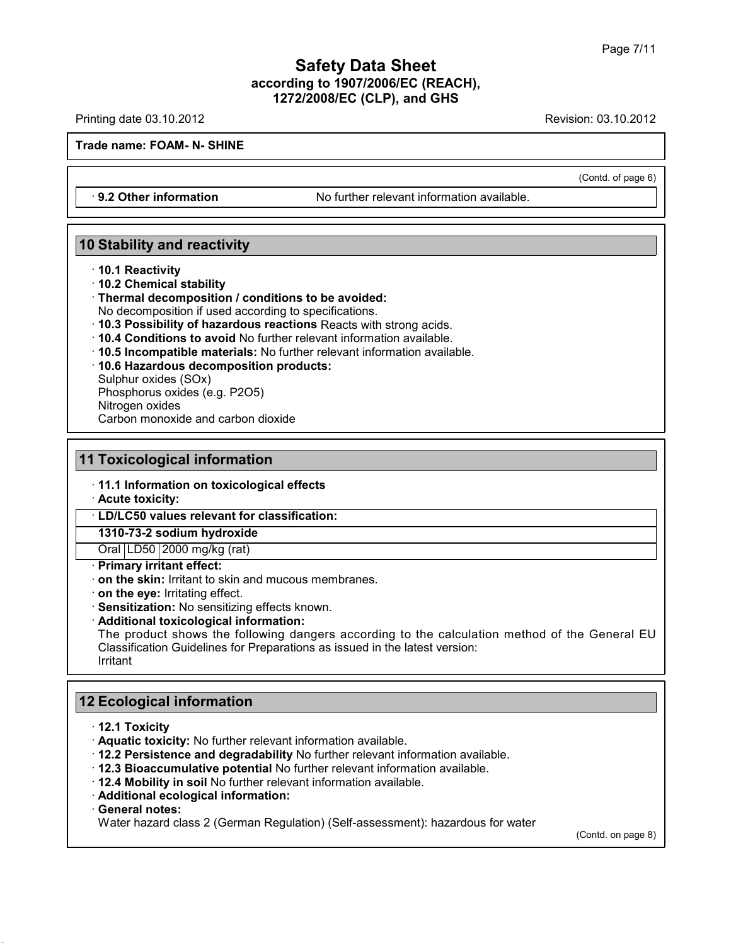Printing date 03.10.2012 **Revision: 03.10.2012** Revision: 03.10.2012

**Trade name: FOAM- N- SHINE**

· **9.2 Other information** No further relevant information available.

## **10 Stability and reactivity**

- · **10.1 Reactivity**
- · **10.2 Chemical stability**
- · **Thermal decomposition / conditions to be avoided:**
- No decomposition if used according to specifications.
- · **10.3 Possibility of hazardous reactions** Reacts with strong acids.
- · **10.4 Conditions to avoid** No further relevant information available.
- · **10.5 Incompatible materials:** No further relevant information available.
- · **10.6 Hazardous decomposition products:**

Sulphur oxides (SOx) Phosphorus oxides (e.g. P2O5) Nitrogen oxides

Carbon monoxide and carbon dioxide

# **11 Toxicological information**

· **11.1 Information on toxicological effects**

· **Acute toxicity:**

· **LD/LC50 values relevant for classification:**

**1310-73-2 sodium hydroxide**

Oral LD50 2000 mg/kg (rat)

## · **Primary irritant effect:**

· **on the skin:** Irritant to skin and mucous membranes.

· **on the eye:** Irritating effect.

· **Sensitization:** No sensitizing effects known.

#### · **Additional toxicological information:**

The product shows the following dangers according to the calculation method of the General EU Classification Guidelines for Preparations as issued in the latest version: Irritant

# **12 Ecological information**

- · **12.1 Toxicity**
- · **Aquatic toxicity:** No further relevant information available.
- · **12.2 Persistence and degradability** No further relevant information available.
- · **12.3 Bioaccumulative potential** No further relevant information available.
- · **12.4 Mobility in soil** No further relevant information available.
- · **Additional ecological information:**
- · **General notes:**

Water hazard class 2 (German Regulation) (Self-assessment): hazardous for water

(Contd. on page 8)

(Contd. of page 6)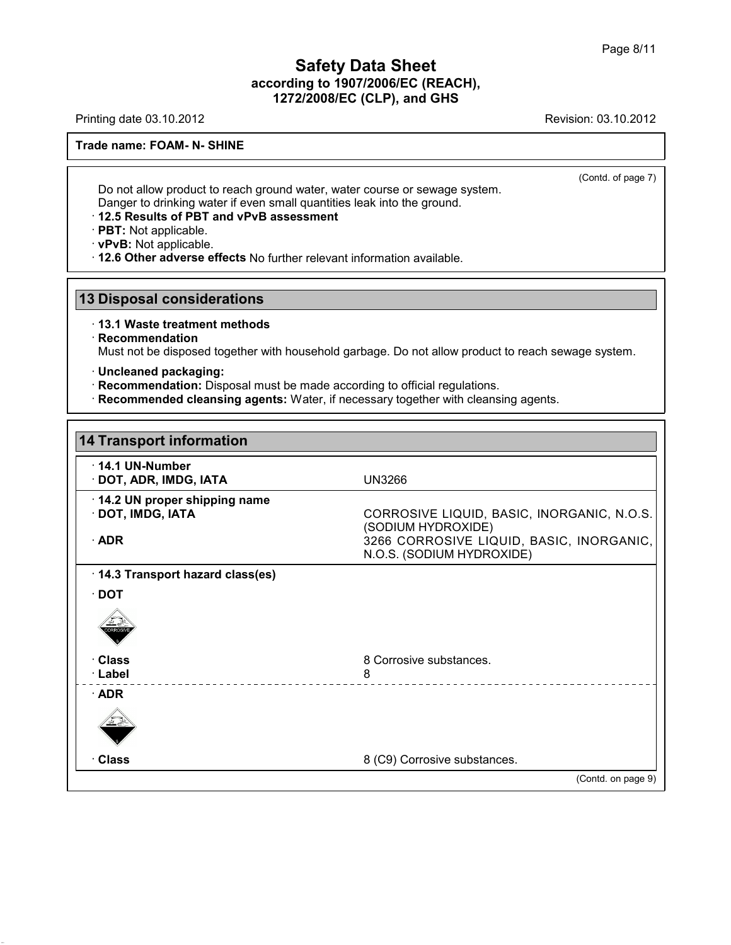Printing date 03.10.2012 **Revision: 03.10.2012** Revision: 03.10.2012

**Trade name: FOAM- N- SHINE**

(Contd. of page 7)

Do not allow product to reach ground water, water course or sewage system. Danger to drinking water if even small quantities leak into the ground.

#### · **12.5 Results of PBT and vPvB assessment**

· **PBT:** Not applicable.

· **vPvB:** Not applicable.

· **12.6 Other adverse effects** No further relevant information available.

## **13 Disposal considerations**

· **13.1 Waste treatment methods**

#### · **Recommendation**

Must not be disposed together with household garbage. Do not allow product to reach sewage system.

- · **Uncleaned packaging:**
- · **Recommendation:** Disposal must be made according to official regulations.
- · **Recommended cleansing agents:** Water, if necessary together with cleansing agents.

| <b>14 Transport information</b>                                  |                                                                                                                                           |
|------------------------------------------------------------------|-------------------------------------------------------------------------------------------------------------------------------------------|
| $\cdot$ 14.1 UN-Number<br>· DOT, ADR, IMDG, IATA                 | <b>UN3266</b>                                                                                                                             |
| 14.2 UN proper shipping name<br>· DOT, IMDG, IATA<br>$\cdot$ ADR | CORROSIVE LIQUID, BASIC, INORGANIC, N.O.S.<br>(SODIUM HYDROXIDE)<br>3266 CORROSIVE LIQUID, BASIC, INORGANIC,<br>N.O.S. (SODIUM HYDROXIDE) |
| 14.3 Transport hazard class(es)                                  |                                                                                                                                           |
| $\cdot$ DOT                                                      |                                                                                                                                           |
| · Class<br>· Label                                               | 8 Corrosive substances.<br>8                                                                                                              |
| $\cdot$ ADR                                                      |                                                                                                                                           |
| · Class                                                          | 8 (C9) Corrosive substances.                                                                                                              |
|                                                                  | (Contd. on page 9)                                                                                                                        |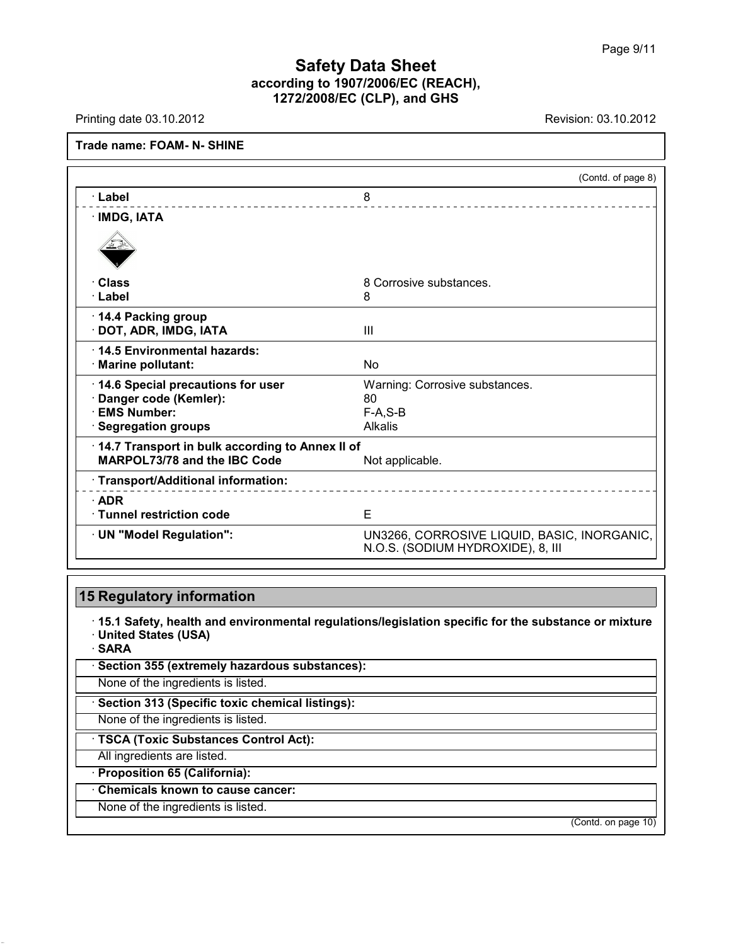Printing date 03.10.2012 **Revision: 03.10.2012** Revision: 03.10.2012

## **Trade name: FOAM- N- SHINE**

|                                                    | (Contd. of page 8)                                                               |
|----------------------------------------------------|----------------------------------------------------------------------------------|
| · Label                                            | 8                                                                                |
| · IMDG, IATA                                       |                                                                                  |
|                                                    |                                                                                  |
| · Class                                            | 8 Corrosive substances.                                                          |
| · Label                                            | 8                                                                                |
| · 14.4 Packing group<br>· DOT, ADR, IMDG, IATA     | $\mathbf{III}$                                                                   |
| 14.5 Environmental hazards:<br>· Marine pollutant: | <b>No</b>                                                                        |
| 14.6 Special precautions for user                  | Warning: Corrosive substances.                                                   |
| Danger code (Kemler):                              | 80                                                                               |
| <b>EMS Number:</b>                                 | $F-A, S-B$                                                                       |
| $\cdot$ Segregation groups                         | <b>Alkalis</b>                                                                   |
| 14.7 Transport in bulk according to Annex II of    |                                                                                  |
| MARPOL73/78 and the IBC Code                       | Not applicable.                                                                  |
| · Transport/Additional information:                |                                                                                  |
| $\cdot$ ADR                                        |                                                                                  |
| · Tunnel restriction code                          | E                                                                                |
| · UN "Model Regulation":                           | UN3266, CORROSIVE LIQUID, BASIC, INORGANIC,<br>N.O.S. (SODIUM HYDROXIDE), 8, III |

## **15 Regulatory information**

· **15.1 Safety, health and environmental regulations/legislation specific for the substance or mixture** · **United States (USA)**

· **SARA**

· **Section 355 (extremely hazardous substances):**

None of the ingredients is listed.

· **Section 313 (Specific toxic chemical listings):**

None of the ingredients is listed.

· **TSCA (Toxic Substances Control Act):**

All ingredients are listed.

· **Proposition 65 (California):**

· **Chemicals known to cause cancer:**

None of the ingredients is listed.

(Contd. on page 10)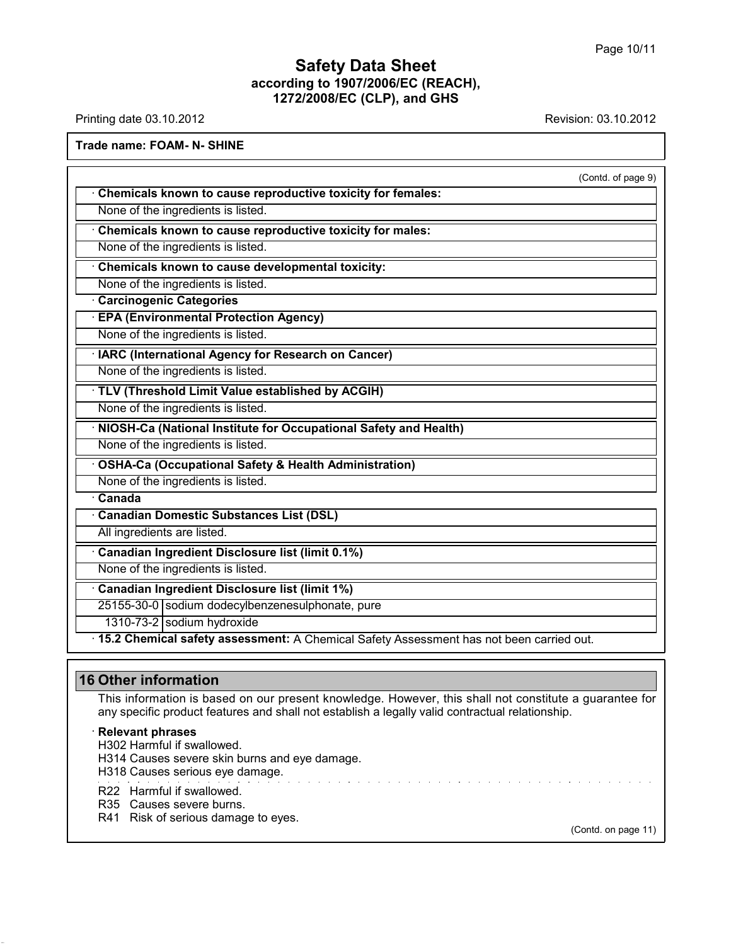Printing date 03.10.2012 **Revision: 03.10.2012** Revision: 03.10.2012

**Trade name: FOAM- N- SHINE**

(Contd. of page 9) · **Chemicals known to cause reproductive toxicity for females:** None of the ingredients is listed. · **Chemicals known to cause reproductive toxicity for males:** None of the ingredients is listed. · **Chemicals known to cause developmental toxicity:** None of the ingredients is listed. · **Carcinogenic Categories** · **EPA (Environmental Protection Agency)** None of the ingredients is listed. · **IARC (International Agency for Research on Cancer)** None of the ingredients is listed. · **TLV (Threshold Limit Value established by ACGIH)** None of the ingredients is listed. · **NIOSH-Ca (National Institute for Occupational Safety and Health)** None of the ingredients is listed. · **OSHA-Ca (Occupational Safety & Health Administration)** None of the ingredients is listed. · **Canada** · **Canadian Domestic Substances List (DSL)** All ingredients are listed. · **Canadian Ingredient Disclosure list (limit 0.1%)** None of the ingredients is listed. · **Canadian Ingredient Disclosure list (limit 1%)** 25155-30-0 sodium dodecylbenzenesulphonate, pure 1310-73-2 sodium hydroxide · **15.2 Chemical safety assessment:** A Chemical Safety Assessment has not been carried out.

# **16 Other information**

This information is based on our present knowledge. However, this shall not constitute a guarantee for any specific product features and shall not establish a legally valid contractual relationship.

#### · **Relevant phrases**

H302 Harmful if swallowed.

H314 Causes severe skin burns and eye damage.

H318 Causes serious eye damage.

R22 Harmful if swallowed.

R35 Causes severe burns.

R41 Risk of serious damage to eyes.

(Contd. on page 11)